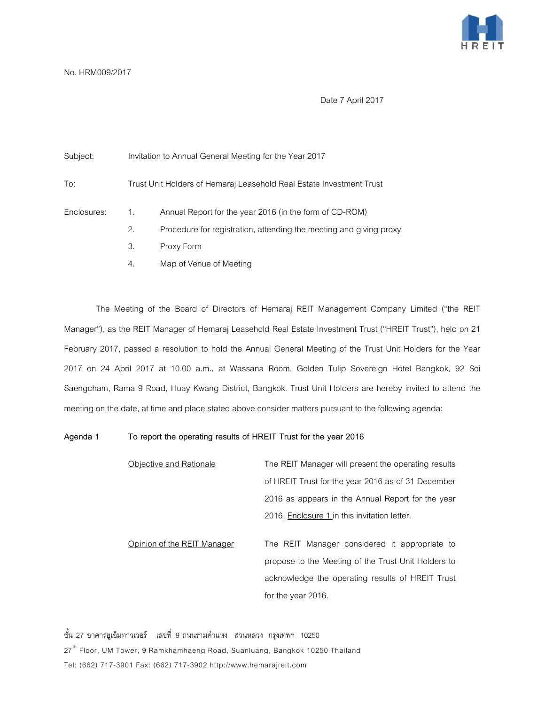

## No. HRM009/2017

Date 7 April 2017

| Subject:    | Invitation to Annual General Meeting for the Year 2017               |                                                                    |
|-------------|----------------------------------------------------------------------|--------------------------------------------------------------------|
| To:         | Trust Unit Holders of Hemaraj Leasehold Real Estate Investment Trust |                                                                    |
| Enclosures: | 1.                                                                   | Annual Report for the year 2016 (in the form of CD-ROM)            |
|             | 2.                                                                   | Procedure for registration, attending the meeting and giving proxy |
|             | 3.                                                                   | Proxy Form                                                         |
|             | 4.                                                                   | Map of Venue of Meeting                                            |

The Meeting of the Board of Directors of Hemaraj REIT Management Company Limited ("the REIT Manager"), as the REIT Manager of Hemaraj Leasehold Real Estate Investment Trust ("HREIT Trust"), held on 21 February 2017, passed a resolution to hold the Annual General Meeting of the Trust Unit Holders for the Year 2017 on 24 April 2017 at 10.00 a.m., at Wassana Room, Golden Tulip Sovereign Hotel Bangkok, 92 Soi Saengcham, Rama 9 Road, Huay Kwang District, Bangkok. Trust Unit Holders are hereby invited to attend the meeting on the date, at time and place stated above consider matters pursuant to the following agenda:

## **Agenda 1 To report the operating results of HREIT Trust for the year 2016**

Objective and Rationale The REIT Manager will present the operating results of HREIT Trust for the year 2016 as of 31 December 2016 as appears in the Annual Report for the year 2016, Enclosure 1 in this invitation letter.

Opinion of the REIT Manager The REIT Manager considered it appropriate to propose to the Meeting of the Trust Unit Holders to acknowledge the operating results of HREIT Trust for the year 2016.

ชั้น 27 อาคารยูเอ็มทาวเวอร์ เลขที่ 9 ถนนรามคําแหง สวนหลวง กรุงเทพฯ 10250 27<sup>th</sup> Floor, UM Tower, 9 Ramkhamhaeng Road, Suanluang, Bangkok 10250 Thailand Tel: (662) 717-3901 Fax: (662) 717-3902 http://www.hemarajreit.com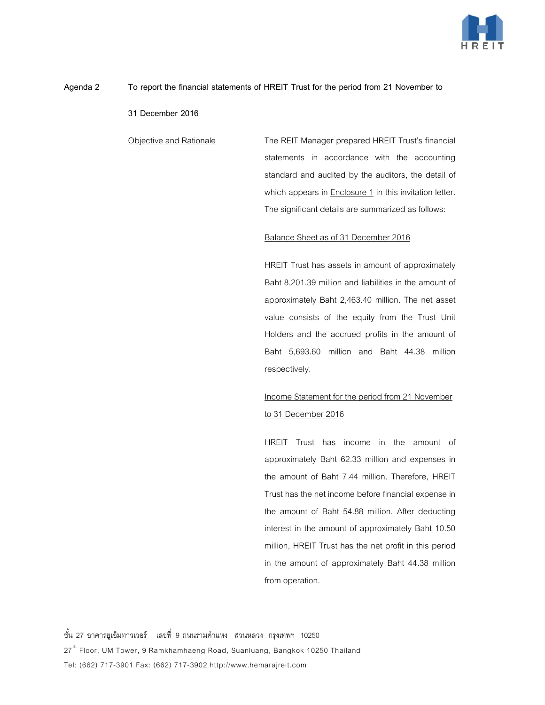

## **Agenda 2 To report the financial statements of HREIT Trust for the period from 21 November to**

**31 December 2016**

Objective and Rationale The REIT Manager prepared HREIT Trust's financial statements in accordance with the accounting standard and audited by the auditors, the detail of which appears in Enclosure 1 in this invitation letter. The significant details are summarized as follows:

## Balance Sheet as of 31 December 2016

HREIT Trust has assets in amount of approximately Baht 8,201.39 million and liabilities in the amount of approximately Baht 2,463.40 million. The net asset value consists of the equity from the Trust Unit Holders and the accrued profits in the amount of Baht 5,693.60 million and Baht 44.38 million respectively.

# Income Statement for the period from 21 November to 31 December 2016

HREIT Trust has income in the amount of approximately Baht 62.33 million and expenses in the amount of Baht 7.44 million. Therefore, HREIT Trust has the net income before financial expense in the amount of Baht 54.88 million. After deducting interest in the amount of approximately Baht 10.50 million, HREIT Trust has the net profit in this period in the amount of approximately Baht 44.38 million from operation.

ชั้น 27 อาคารยูเอ็มทาวเวอร์ เลขที่ 9 ถนนรามคําแหง สวนหลวง กรุงเทพฯ 10250 27<sup>th</sup> Floor, UM Tower, 9 Ramkhamhaeng Road, Suanluang, Bangkok 10250 Thailand Tel: (662) 717-3901 Fax: (662) 717-3902 http://www.hemarajreit.com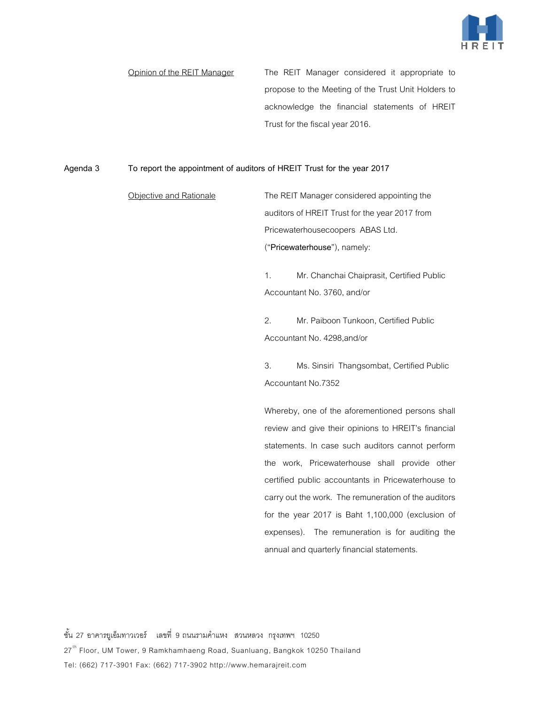

Opinion of the REIT Manager The REIT Manager considered it appropriate to propose to the Meeting of the Trust Unit Holders to acknowledge the financial statements of HREIT Trust for the fiscal year 2016.

## **Agenda 3 To report the appointment of auditors of HREIT Trust for the year 2017**

Objective and Rationale The REIT Manager considered appointing the auditors of HREIT Trust for the year 2017 from Pricewaterhousecoopers ABAS Ltd. ("**Pricewaterhouse**"), namely:

> 1. Mr. Chanchai Chaiprasit, Certified Public Accountant No. 3760, and/or

2. Mr. Paiboon Tunkoon, Certified Public Accountant No. 4298,and/or

3. Ms. Sinsiri Thangsombat, Certified Public Accountant No.7352

Whereby, one of the aforementioned persons shall review and give their opinions to HREIT's financial statements. In case such auditors cannot perform the work, Pricewaterhouse shall provide other certified public accountants in Pricewaterhouse to carry out the work. The remuneration of the auditors for the year 2017 is Baht 1,100,000 (exclusion of expenses). The remuneration is for auditing the annual and quarterly financial statements.

ชั้น 27 อาคารยูเอ็มทาวเวอร์ เลขที่ 9 ถนนรามคําแหง สวนหลวง กรุงเทพฯ 10250 27<sup>th</sup> Floor, UM Tower, 9 Ramkhamhaeng Road, Suanluang, Bangkok 10250 Thailand Tel: (662) 717-3901 Fax: (662) 717-3902 http://www.hemarajreit.com